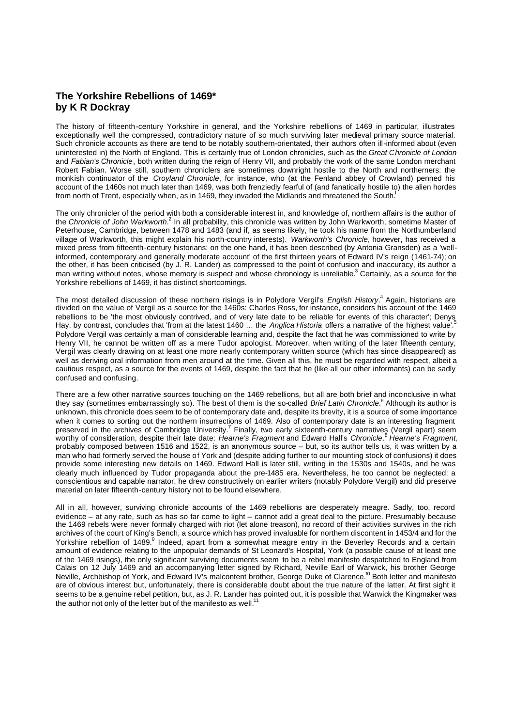## **The Yorkshire Rebellions of 1469\* by K R Dockray**

The history of fifteenth-century Yorkshire in general, and the Yorkshire rebellions of 1469 in particular, illustrates exceptionally well the compressed, contradictory nature of so much surviving later medieval primary source material. Such chronicle accounts as there are tend to be notably southern-orientated, their authors often ill-informed about (even uninterested in) the North of England. This is certainly true of London chronicles, such as the *Great Chronicle of London* and *Fabian's Chronicle*, both written during the reign of Henry VII, and probably the work of the same London merchant Robert Fabian. Worse still, southern chroniclers are sometimes downright hostile to the North and northerners: the monkish continuator of the *Croyland Chronicle*, for instance, who (at the Fenland abbey of Crowland) penned his account of the 1460s not much later than 1469, was both frenziedly fearful of (and fanatically hostile to) the alien hordes from north of Trent, especially when, as in 1469, they invaded the Midlands and threatened the South.

The only chronicler of the period with both a considerable interest in, and knowledge of, northern affairs is the author of the *Chronicle of John Warkworth*.<sup>2</sup> In all probability, this chronicle was written by John Warkworth, sometime Master of Peterhouse, Cambridge, between 1478 and 1483 (and if, as seems likely, he took his name from the Northumberland village of Warkworth, this might explain his north-country interests). *Warkworth's Chronicle*, however, has received a mixed press from fifteenth-century historians: on the one hand, it has been described (by Antonia Gransden) as a 'wellinformed, contemporary and generally moderate account' of the first thirteen years of Edward IV's reign (1461-74); on the other, it has been criticised (by J. R. Lander) as compressed to the point of confusion and inaccuracy, its author a man writing without notes, whose memory is suspect and whose chronology is unreliable.<sup>3</sup> Certainly, as a source for the Yorkshire rebellions of 1469, it has distinct shortcomings.

The most detailed discussion of these northern risings is in Polydore Vergil's *English History*.<sup>4</sup> Again, historians are divided on the value of Vergil as a source for the 1460s: Charles Ross, for instance, considers his account of the 1469 rebellions to be 'the most obviously contrived, and of very late date to be reliable for events of this character'; Denys Hay, by contrast, concludes that 'from at the latest 1460 … the *Anglica Historia* offers a narrative of the highest value'.<sup>5</sup> Polydore Vergil was certainly a man of considerable learning and, despite the fact that he was commissioned to write by Henry VII, he cannot be written off as a mere Tudor apologist. Moreover, when writing of the later fifteenth century, Vergil was clearly drawing on at least one more nearly contemporary written source (which has since disappeared) as well as deriving oral information from men around at the time. Given all this, he must be regarded with respect, albeit a cautious respect, as a source for the events of 1469, despite the fact that he (like all our other informants) can be sadly confused and confusing.

There are a few other narrative sources touching on the 1469 rebellions, but all are both brief and inconclusive in what they say (sometimes embarrassingly so). The best of them is the so-called *Brief Latin Chronicle*.<sup>6</sup> Although its author is unknown, this chronicle does seem to be of contemporary date and, despite its brevity, it is a source of some importance when it comes to sorting out the northern insurrections of 1469. Also of contemporary date is an interesting fragment preserved in the archives of Cambridge University.<sup>7</sup> Finally, two early sixteenth-century narratives (Vergil apart) seem worthy of consideration, despite their late date: *Hearne's Fragment* and Edward Hall's *Chronicle*. <sup>8</sup> *Hearne's Fragment*, probably composed between 1516 and 1522, is an anonymous source – but, so its author tells us, it was written by a man who had formerly served the house of York and (despite adding further to our mounting stock of confusions) it does provide some interesting new details on 1469. Edward Hall is later still, writing in the 1530s and 1540s, and he was clearly much influenced by Tudor propaganda about the pre-1485 era. Nevertheless, he too cannot be neglected: a conscientious and capable narrator, he drew constructively on earlier writers (notably Polydore Vergil) and did preserve material on later fifteenth-century history not to be found elsewhere.

All in all, however, surviving chronicle accounts of the 1469 rebellions are desperately meagre. Sadly, too, record evidence – at any rate, such as has so far come to light – cannot add a great deal to the picture. Presumably because the 1469 rebels were never formaly charged with riot (let alone treason), no record of their activities survives in the rich archives of the court of King's Bench, a source which has proved invaluable for northern discontent in 1453/4 and for the Yorkshire rebellion of 1489.<sup>9</sup> Indeed, apart from a somewhat meagre entry in the Beverley Records and a certain amount of evidence relating to the unpopular demands of St Leonard's Hospital, York (a possible cause of at least one of the 1469 risings), the only significant surviving documents seem to be a rebel manifesto despatched to England from Calais on 12 July 1469 and an accompanying letter signed by Richard, Neville Earl of Warwick, his brother George Neville, Archbishop of York, and Edward IV's malcontent brother, George Duke of Clarence.<sup>10</sup> Both letter and manifesto are of obvious interest but, unfortunately, there is considerable doubt about the true nature of the latter. At first sight it seems to be a genuine rebel petition, but, as J. R. Lander has pointed out, it is possible that Warwick the Kingmaker was the author not only of the letter but of the manifesto as well.<sup>11</sup>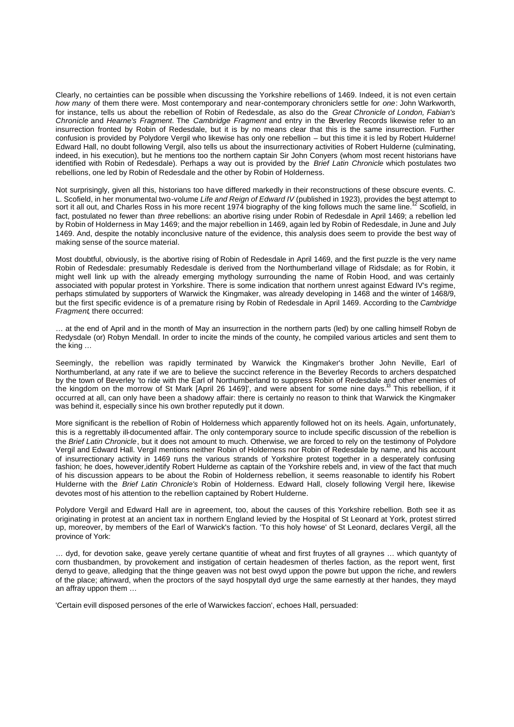Clearly, no certainties can be possible when discussing the Yorkshire rebellions of 1469. Indeed, it is not even certain *how many* of them there were. Most contemporary and near-contemporary chroniclers settle for *one*: John Warkworth, for instance, tells us about the rebellion of Robin of Redesdale, as also do the *Great Chronicle of London, Fabian's Chronicle* and *Hearne's Fragment*. The *Cambridge Fragment* and entry in the Beverley Records likewise refer to an insurrection fronted by Robin of Redesdale, but it is by no means clear that this is the same insurrection. Further confusion is provided by Polydore Vergil who likewise has only one rebellion – but this time it is led by Robert Hulderne! Edward Hall, no doubt following Vergil, also tells us about the insurrectionary activities of Robert Hulderne (culminating, indeed, in his execution), but he mentions too the northern captain Sir John Conyers (whom most recent historians have identified with Robin of Redesdale). Perhaps a way out is provided by the *Brief Latin Chronicle* which postulates two rebellions, one led by Robin of Redesdale and the other by Robin of Holderness.

Not surprisingly, given all this, historians too have differed markedly in their reconstructions of these obscure events. C. L. Scofield, in her monumental two*-*volume *Life and Reign of Edward IV* (published in 1923), provides the best attempt to<br>sort it all out, and Charles Ross in his more recent 1974 biography of the king follows much the s fact, postulated no fewer than *three* rebellions: an abortive rising under Robin of Redesdale in April 1469; a rebellion led by Robin of Holderness in May 1469; and the major rebellion in 1469, again led by Robin of Redesdale, in June and July 1469. And, despite the notably inconclusive nature of the evidence, this analysis does seem to provide the best way of making sense of the source material.

Most doubtful, obviously, is the abortive rising of Robin of Redesdale in April 1469, and the first puzzle is the very name Robin of Redesdale: presumably Redesdale is derived from the Northumberland village of Ridsdale; as for Robin, it might well link up with the already emerging mythology surrounding the name of Robin Hood, and was certainly associated with popular protest in Yorkshire. There is some indication that northern unrest against Edward IV's regime, perhaps stimulated by supporters of Warwick the Kingmaker, was already developing in 1468 and the winter of 1468/9, but the first specific evidence is of a premature rising by Robin of Redesdale in April 1469. According to the *Cambridge Fragment*, there occurred:

… at the end of April and in the month of May an insurrection in the northern parts (led) by one calling himself Robyn de Redysdale (or) Robyn Mendall. In order to incite the minds of the county, he compiled various articles and sent them to the king …

Seemingly, the rebellion was rapidly terminated by Warwick the Kingmaker's brother John Neville, Earl of Northumberland, at any rate if we are to believe the succinct reference in the Beverley Records to archers despatched by the town of Beverley 'to ride with the Earl of Northumberland to suppress Robin of Redesdale and other enemies of the kingdom on the morrow of St Mark [April 26 1469]', and were absent for some nine days.<sup>13</sup> This rebellion, if it occurred at all, can only have been a shadowy affair: there is certainly no reason to think that Warwick the Kingmaker was behind it, especially since his own brother reputedly put it down.

More significant is the rebellion of Robin of Holderness which apparently followed hot on its heels. Again, unfortunately, this is a regrettably ill-documented affair. The only contemporary source to include specific discussion of the rebellion is the *Brief Latin Chronicle*, but it does not amount to much. Otherwise, we are forced to rely on the testimony of Polydore Vergil and Edward Hall. Vergil mentions neither Robin of Holderness nor Robin of Redesdale by name, and his account of insurrectionary activity in 1469 runs the various strands of Yorkshire protest together in a desperately confusing fashion; he does, however,identify Robert Hulderne as captain of the Yorkshire rebels and, in view of the fact that much of his discussion appears to be about the Robin of Holderness rebellion, it seems reasonable to identify his Robert Hulderne with the *Brief Latin Chronicle's* Robin of Holderness. Edward Hall, closely following Vergil here, likewise devotes most of his attention to the rebellion captained by Robert Hulderne.

Polydore Vergil and Edward Hall are in agreement, too, about the causes of this Yorkshire rebellion. Both see it as originating in protest at an ancient tax in northern England levied by the Hospital of St Leonard at York, protest stirred up, moreover, by members of the Earl of Warwick's faction. 'To this holy howse' of St Leonard, declares Vergil, all the province of York:

… dyd, for devotion sake, geave yerely certane quantitie of wheat and first fruytes of all graynes … which quantyty of corn thusbandmen, by provokement and instigation of certain headesmen of therles faction, as the report went, first denyd to geave, alledging that the thinge geaven was not best owyd uppon the powre but uppon the riche, and rewlers of the place; aftirward, when the proctors of the sayd hospytall dyd urge the same earnestly at ther handes, they mayd an affray uppon them …

'Certain evill disposed persones of the erIe of Warwickes faccion', echoes Hall, persuaded: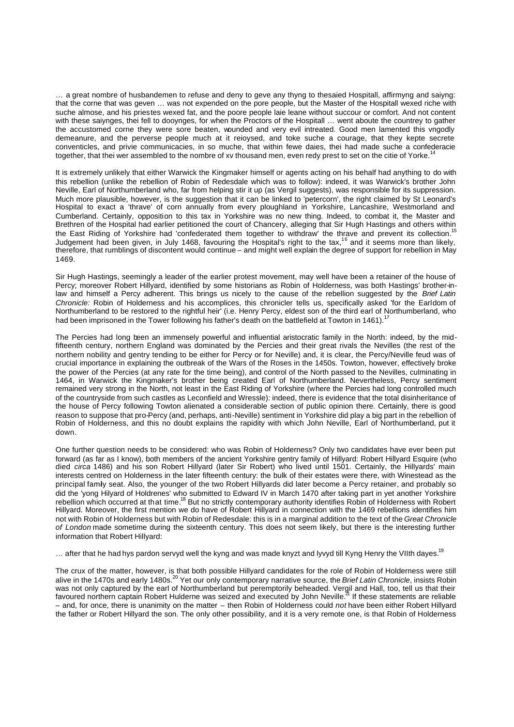… a great nombre of husbandemen to refuse and deny to geve any thyng to thesaied Hospitall, affirmyng and saiyng: that the corne that was geven … was not expended on the pore people, but the Master of the Hospitall wexed riche with suche almose, and his priestes wexed fat, and the poore people laie leane without succour or comfort. And not content with these saiynges, thei fell to dooynges, for when the Proctors of the Hospitall ... went aboute the countrey to gather the accustomed corne they were sore beaten, wounded and very evil intreated. Good men lamented this vngodly demeanure, and the perverse people much at it reioysed, and toke suche a courage, that they kepte secrete conventicles, and privie communicacies, in so muche, that within fewe daies, thei had made suche a confederacie together, that thei wer assembled to the nombre of xv thousand men, even redy prest to set on the citie of Yorke.<sup>14</sup>

It is extremely unlikely that either Warwick the Kingmaker himself or agents acting on his behalf had anything to do with this rebellion (unlike the rebellion of Robin of Redesdale which was to follow): indeed, it was Warwick's brother John Neville, Earl of Northumberland who, far from helping stir it up (as Vergil suggests), was responsible for its suppression. Much more plausible, however, is the suggestion that it can be linked to 'petercorn', the right claimed by St Leonard's Hospital to exact a 'thrave' of corn annually from every ploughland in Yorkshire, Lancashire, Westmorland and Cumberland. Certainly, opposition to this tax in Yorkshire was no new thing. Indeed, to combat it, the Master and Brethren of the Hospital had earlier petitioned the court of Chancery, alleging that Sir Hugh Hastings and others within the East Riding of Yorkshire had 'confederated them together to withdraw' the thrave and prevent its collection.<sup>1</sup> Judgement had been given, in July 1468, favouring the Hospital's right to the tax,<sup>16</sup> and it seems more than likely, therefore, that rumblings of discontent would continue – and might well explain the degree of support for rebellion in May 1469.

Sir Hugh Hastings, seemingly a leader of the earlier protest movement, may well have been a retainer of the house of Percy; moreover Robert Hillyard, identified by some historians as Robin of Holderness, was both Hastings' brother-inlaw and himself a Percy adherent. This brings us nicely to the cause of the rebellion suggested by the *Brief Latin Chronicle:* Robin of Holderness and his accomplices, this chronicler tells us, specifically asked 'for the Earldom of Northumberland to be restored to the rightful heir' (i.e. Henry Percy, eldest son of the third earl of Northumberland, who had been imprisoned in the Tower following his father's death on the battlefield at Towton in 1461).

The Percies had long been an immensely powerful and influential aristocratic family in the North: indeed, by the midfifteenth century, northern England was dominated by the Percies and their great rivals the Nevilles (the rest of the northern nobility and gentry tending to be either for Percy or for Neville) and, it is clear, the Percy/Neville feud was of crucial importance in explaining the outbreak of the Wars of the Roses in the 1450s. Towton, however, effectively broke the power of the Percies (at any rate for the time being), and control of the North passed to the Nevilles, culminating in 1464, in Warwick the Kingmaker's brother being created Earl of Northumberland. Nevertheless, Percy sentiment remained very strong in the North, not least in the East Riding of Yorkshire (where the Percies had long controlled much of the countryside from such castles as Leconfield and Wressle): indeed, there is evidence that the total disinheritance of the house of Percy following Towton alienated a considerable section of public opinion there. Certainly, there is good reason to suppose that pro-Percy (and, perhaps, anti-Neville) sentiment in Yorkshire did play a big part in the rebellion of Robin of Holderness, and this no doubt explains the rapidity with which John Neville, Earl of Northumberland, put it down.

One further question needs to be considered: who was Robin of Holderness? Only two candidates have ever been put forward (as far as I know), both members of the ancient Yorkshire gentry family of Hillyard: Robert Hillyard Esquire (who died *circa* 1486) and his son Robert Hillyard (later Sir Robert) who lived until 1501. Certainly, the Hillyards' main interests centred on Holderness in the later fifteenth century: the bulk of their estates were there, with Winestead as the principal family seat. Also, the younger of the two Robert Hillyards did later become a Percy retainer, and probably so did the 'yong Hilyard of Holdrenes' who submitted to Edward IV in March 1470 after taking part in yet another Yorkshire rebellion which occurred at that time.<sup>18</sup> But no strictly contemporary authority identifies Robin of Holderness with Robert Hillyard. Moreover, the first mention we do have of Robert Hillyard in connection with the 1469 rebellions identifies him not with Robin of Holderness but with Robin of Redesdale: this is in a marginal addition to the text of the *Great Chronicle of London* made sometime during the sixteenth century. This does not seem likely, but there is the interesting further information that Robert Hillyard:

... after that he had hys pardon servyd well the kyng and was made knyzt and lyvyd till Kyng Henry the VIIth dayes.<sup>19</sup>

The crux of the matter, however, is that both possible Hillyard candidates for the role of Robin of Holderness were still alive in the 1470s and early 1480s.<sup>20</sup> Yet our only contemporary narrative source, the *Brief Latin Chronicle*, insists Robin was not only captured by the earl of Northumberland but peremptorily beheaded. Vergil and Hall, too, tell us that their<br>favoured northern captain Robert Hulderne was seized and executed by John Neville.<sup>21</sup> If these statem – and, for once, there is unanimity on the matter – then Robin of Holderness could *not* have been either Robert Hillyard the father or Robert Hillyard the son. The only other possibility, and it is a very remote one, is that Robin of Holderness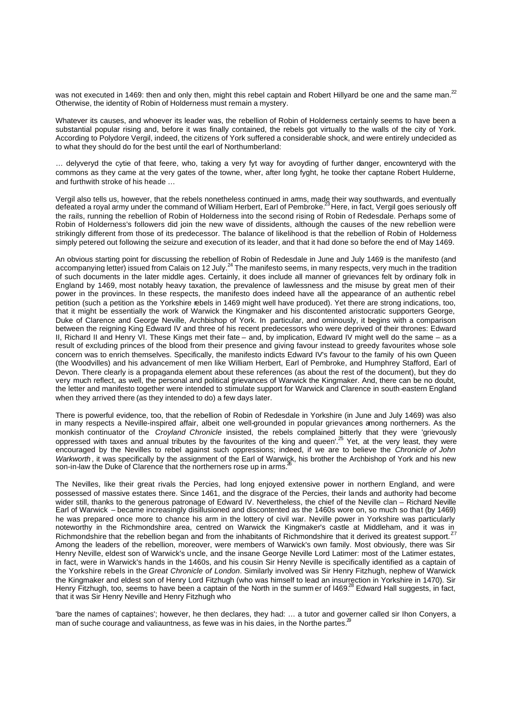was not executed in 1469: then and only then, might this rebel captain and Robert Hillyard be one and the same man.<sup>22</sup> Otherwise, the identity of Robin of Holderness must remain a mystery.

Whatever its causes, and whoever its leader was, the rebellion of Robin of Holderness certainly seems to have been a substantial popular rising and, before it was finally contained, the rebels got virtually to the walls of the city of York. According to Polydore Vergil, indeed, the citizens of York suffered a considerable shock, and were entirely undecided as to what they should do for the best until the earl of Northumberland:

… delyveryd the cytie of that feere, who, taking a very fyt way for avoyding of further danger, encownteryd with the commons as they came at the very gates of the towne, wher, after long fyght, he tooke ther captane Robert Hulderne, and furthwith stroke of his heade …

Vergil also tells us, however, that the rebels nonetheless continued in ams, made their way southwards, and eventually<br>defeated a royal army under the command of William Herbert, Earl of Pembroke.<sup>23</sup> Here, in fact, Vergil the rails, running the rebellion of Robin of Holderness into the second rising of Robin of Redesdale. Perhaps some of Robin of Holderness's followers did join the new wave of dissidents, although the causes of the new rebellion were strikingly different from those of its predecessor. The balance of likelihood is that the rebellion of Robin of Holderness simply petered out following the seizure and execution of its leader, and that it had done so before the end of May 1469.

An obvious starting point for discussing the rebellion of Robin of Redesdale in June and July 1469 is the manifesto (and<br>accompanying letter) issued from Calais on 12 July.<sup>24</sup> The manifesto seems, in many respects, very m of such documents in the later middle ages. Certainly, it does include all manner of grievances felt by ordinary folk in England by 1469, most notably heavy taxation, the prevalence of lawlessness and the misuse by great men of their power in the provinces. In these respects, the manifesto does indeed have all the appearance of an authentic rebel petition (such a petition as the Yorkshire rebels in 1469 might well have produced). Yet there are strong indications, too, that it might be essentially the work of Warwick the Kingmaker and his discontented aristocratic supporters George, Duke of Clarence and George Neville, Archbishop of York. In particular, and ominously, it begins with a comparison between the reigning King Edward IV and three of his recent predecessors who were deprived of their thrones: Edward II, Richard II and Henry VI. These Kings met their fate – and, by implication, Edward IV might well do the same – as a result of excluding princes of the blood from their presence and giving favour instead to greedy favourites whose sole concern was to enrich themselves. Specifically, the manifesto indicts Edward IV's favour to the family of his own Queen (the Woodvilles) and his advancement of men like William Herbert, Earl of Pembroke, and Humphrey Stafford, Earl of Devon. There clearly is a propaganda element about these references (as about the rest of the document), but they do very much reflect, as well, the personal and political grievances of Warwick the Kingmaker. And, there can be no doubt, the letter and manifesto together were intended to stimulate support for Warwick and Clarence in south-eastern England when they arrived there (as they intended to do) a few days later.

There is powerful evidence, too, that the rebellion of Robin of Redesdale in Yorkshire (in June and July 1469) was also in many respects a Neville-inspired affair, albeit one well-grounded in popular grievances among northerners. As the monkish continuator of the *Croyland Chronicle* insisted, the rebels complained bitterly that they were 'grievously oppressed with taxes and annual tributes by the favourites of the king and queen'.<sup>25</sup> Yet, at the very least, they were encouraged by the Nevilles to rebel against such oppressions; indeed, if we are to believe the *Chronicle of John Warkworth*, it was specifically by the assignment of the Earl of Warwick, his brother the Archbishop of York and his new son-in-law the Duke of Clarence that the northerners rose up in arms.

The Nevilles, like their great rivals the Percies, had long enjoyed extensive power in northern England, and were possessed of massive estates there. Since 1461, and the disgrace of the Percies, their lands and authority had become wider still, thanks to the generous patronage of Edward IV. Nevertheless, the chief of the Neville clan – Richard Neville Earl of Warwick – became increasingly disillusioned and discontented as the 1460s wore on, so much so that (by 1469) he was prepared once more to chance his arm in the lottery of civil war. Neville power in Yorkshire was particularly noteworthy in the Richmondshire area, centred on Warwick the Kingmaker's castle at Middleham, and it was in Richmondshire that the rebellion began and from the inhabitants of Richmondshire that it derived its greatest support.<sup>27</sup> Among the leaders of the rebellion, moreover, were members of Warwick's own family. Most obviously, there was Sir Henry Neville, eldest son of Warwick's uncle, and the insane George Neville Lord Latimer: most of the Latimer estates, in fact, were in Warwick's hands in the 1460s, and his cousin Sir Henry Neville is specifically identified as a captain of the Yorkshire rebels in the *Great Chronicle of London*. Similarly involved was Sir Henry Fitzhugh, nephew of Warwick the Kingmaker and eldest son of Henry Lord Fitzhugh (who was himself to lead an insurrection in Yorkshire in 1470). Sir Henry Fitzhugh, too, seems to have been a captain of the North in the summ er of I469.<sup>28</sup> Edward Hall suggests, in fact, that it was Sir Henry Neville and Henry Fitzhugh who

'bare the names of captaines'; however, he then declares, they had: … a tutor and governer called sir Ihon Conyers, a man of suche courage and valiauntness, as fewe was in his daies, in the Northe partes. $29$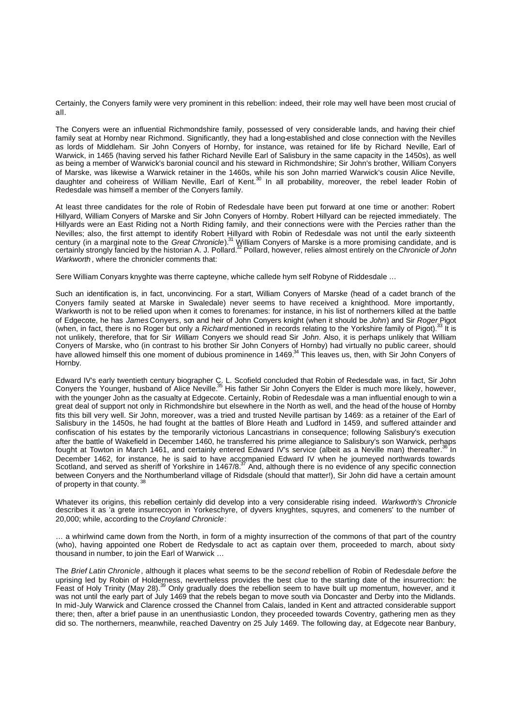Certainly, the Conyers family were very prominent in this rebellion: indeed, their role may well have been most crucial of all.

The Conyers were an influential Richmondshire family, possessed of very considerable lands, and having their chief family seat at Hornby near Richmond. Significantly, they had a long-established and close connection with the Nevilles as lords of Middleham. Sir John Conyers of Hornby, for instance, was retained for life by Richard Neville, Earl of Warwick, in 1465 (having served his father Richard Neville Earl of Salisbury in the same capacity in the 1450s), as well as being a member of Warwick's baronial council and his steward in Richmondshire; Sir John's brother, William Conyers of Marske, was likewise a Warwick retainer in the 1460s, while his son John married Warwick's cousin Alice Neville, daughter and coheiress of William Neville, Earl of Kent.<sup>30</sup> In all probability, moreover, the rebel leader Robin of Redesdale was himself a member of the Conyers family.

At least three candidates for the role of Robin of Redesdale have been put forward at one time or another: Robert Hillyard, William Conyers of Marske and Sir John Conyers of Hornby. Robert Hillyard can be rejected immediately. The Hillyards were an East Riding not a North Riding family, and their connections were with the Percies rather than the Nevilles; also, the first attempt to identify Robert Hillyard with Robin of Redesdale was not until the early sixteenth century (in a marginal note to the *Great Chronicle*).<sup>31</sup> William Conyers of Marske is a more promising candidate, and is certainly strongly fancied by the historian A. J. Pollard.<sup>32</sup> Pollard, however, relies almost entirely on the *Chronicle of John Warkworth* , where the chronicler comments that:

Sere William Conyars knyghte was therre capteyne, whiche callede hym self Robyne of Riddesdale …

Such an identification is, in fact, unconvincing. For a start, William Conyers of Marske (head of a cadet branch of the Conyers family seated at Marske in Swaledale) never seems to have received a knighthood. More importantly, Warkworth is not to be relied upon when it comes to forenames: for instance, in his list of northerners killed at the battle of Edgecote, he has *James* Conyers, son and heir of John Conyers knight (when it should be *John*) and Sir *Roger* Pigot (when, in fact, there is no Roger but only a *Richard* mentioned in records relating to the Yorkshire family of Pigot).<sup>33</sup> It is not unlikely, therefore, that for Sir *William* Conyers we should read Sir *John*. Also, it is perhaps unlikely that William Conyers of Marske, who (in contrast to his brother Sir John Conyers of Hornby) had virtually no public career, should have allowed himself this one moment of dubious prominence in 1469.<sup>34</sup> This leaves us, then, with Sir John Conyers of Hornby.

Edward IV's early twentieth century biographer C. L. Scofield concluded that Robin of Redesdale was, in fact, Sir John<br>Conyers the Younger, husband of Alice Neville.<sup>35</sup> His father Sir John Conyers the Elder is much more l with the younger John as the casualty at Edgecote. Certainly, Robin of Redesdale was a man influential enough to win a great deal of support not only in Richmondshire but elsewhere in the North as well, and the head of the house of Hornby fits this bill very well. Sir John, moreover, was a tried and trusted Neville partisan by 1469: as a retainer of the Earl of Salisbury in the 1450s, he had fought at the battles of Blore Heath and Ludford in 1459, and suffered attainder and confiscation of his estates by the temporarily victorious Lancastrians in consequence; following Salisbury's execution after the battle of Wakefield in December 1460, he transferred his prime allegiance to Salisbury's son Warwick, perhaps fought at Towton in March 1461, and certainly entered Edward IV's service (albeit as a Neville man) thereafter.<sup>36</sup> In December 1462, for instance, he is said to have accompanied Edward IV when he journeyed northwards towards<br>Scotland, and served as sheriff of Yorkshire in 1467/8.<sup>37</sup> And, although there is no evidence of any specific conn between Conyers and the Northumberland village of Ridsdale (should that matter!), Sir John did have a certain amount of property in that county.<sup>38</sup>

Whatever its origins, this rebellion certainly did develop into a very considerable rising indeed. *Warkworth's Chronicle* describes it as 'a grete insurreccyon in Yorkeschyre, of dyvers knyghtes, squyres, and comeners' to the number of 20,000; while, according to the *Croyland Chronicle*:

… a whirlwind came down from the North, in form of a mighty insurrection of the commons of that part of the country (who), having appointed one Robert de Redysdale to act as captain over them, proceeded to march, about sixty thousand in number, to join the Earl of Warwick …

The *Brief Latin Chronicle*, although it places what seems to be the *second* rebellion of Robin of Redesdale *before* the uprising led by Robin of Holderness, nevertheless provides the best clue to the starting date of the insurrection: the Feast of Holy Trinity (May 28).<sup>39</sup> Only gradually does the rebellion seem to have built up momentum, however, and it was not until the early part of July 1469 that the rebels began to move south via Doncaster and Derby into the Midlands. In mid-July Warwick and Clarence crossed the Channel from Calais, landed in Kent and attracted considerable support there; then, after a brief pause in an unenthusiastic London, they proceeded towards Coventry, gathering men as they did so. The northerners, meanwhile, reached Daventry on 25 July 1469. The following day, at Edgecote near Banbury,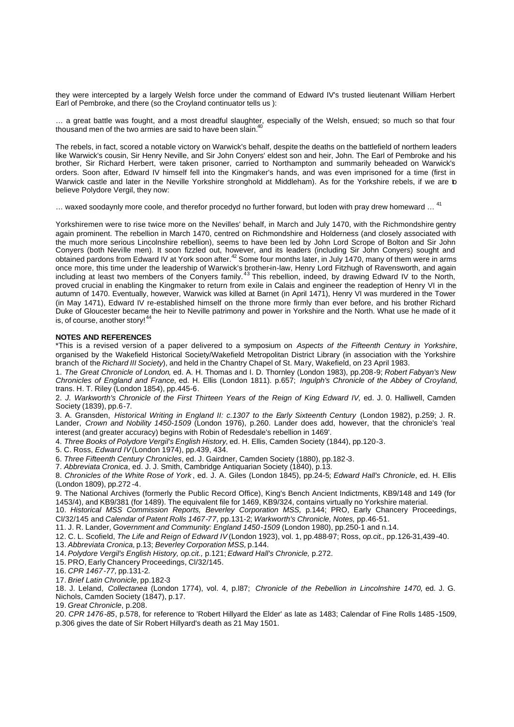they were intercepted by a largely Welsh force under the command of Edward IV's trusted lieutenant William Herbert Earl of Pembroke, and there (so the Croyland continuator tells us ):

… a great battle was fought, and a most dreadful slaughter, especially of the Welsh, ensued; so much so that four thousand men of the two armies are said to have been slain.<sup>4</sup>

The rebels, in fact, scored a notable victory on Warwick's behalf, despite the deaths on the battlefield of northern leaders like Warwick's cousin, Sir Henry Neville, and Sir John Conyers' eldest son and heir, John. The Earl of Pembroke and his brother, Sir Richard Herbert, were taken prisoner, carried to Northampton and summarily beheaded on Warwick's orders. Soon after, Edward IV himself fell into the Kingmaker's hands, and was even imprisoned for a time (first in Warwick castle and later in the Neville Yorkshire stronghold at Middleham). As for the Yorkshire rebels, if we are to believe Polydore Vergil, they now:

… waxed soodaynly more coole, and therefor procedyd no further forward, but loden with pray drew homeward … <sup>41</sup>

Yorkshiremen were to rise twice more on the Nevilles' behalf, in March and July 1470, with the Richmondshire gentry again prominent. The rebellion in March 1470, centred on Richmondshire and Holderness (and closely associated with the much more serious Lincolnshire rebellion), seems to have been led by John Lord Scrope of Bolton and Sir John Conyers (both Neville men). It soon fizzled out, however, and its leaders (including Sir John Conyers) sought and obtained pardons from Edward IV at York soon after.<sup>42</sup> Some four months later, in July 1470, many of them were in arms once more, this time under the leadership of Warwick's brother-in-law, Henry Lord Fitzhugh of Ravensworth, and again including at least two members of the Conyers family.<sup>43</sup> This rebellion, indeed, by drawing Edward IV to the North, proved crucial in enabling the Kingmaker to return from exile in Calais and engineer the readeption of Henry VI in the autumn of 1470. Eventually, however, Warwick was killed at Barnet (in April 1471), Henry VI was murdered in the Tower (in May 1471), Edward IV re-established himself on the throne more firmly than ever before, and his brother Richard Duke of Gloucester became the heir to Neville patrimony and power in Yorkshire and the North. What use he made of it is, of course, another story! $4$ 

## **NOTES AND REFERENCES**

\*This is a revised version of a paper delivered to a symposium on *Aspects of the Fifteenth Century in Yorkshire*, organised by the Wakefield Historical Society/Wakefield Metropolitan District Library (in association with the Yorkshire branch of the *Richard III Society*), and held in the Chantry Chapel of St. Mary, Wakefield, on 23 April 1983.

1. *The Great Chronicle of London*, ed. A. H. Thomas and I. D. Thornley (London 1983), pp.208-9; *Robert Fabyan's New Chronicles of England and France,* ed. H. Ellis (London 1811). p.657; *Ingulph's Chronicle of the Abbey of Croyland,* trans. H. T. Riley (London 1854), pp.445-6.

2. *J. Warkworth's Chronicle of the First Thirteen Years of the Reign of King Edward IV,* ed. J. 0. Halliwell, Camden Society (1839), pp.6-7.

3. A. Gransden, *Historical Writing in England II: c.1307 to the Early Sixteenth Century* (London 1982), p.259; J. R. Lander, *Crown and Nobility 1450-1509* (London 1976), p.260. Lander does add, however, that the chronicle's 'real interest (and greater accuracy) begins with Robin of Redesdale's rebellion in 1469'.

4. *Three Books of Polydore Vergil's English History,* ed. H. Ellis, Camden Society (1844), pp.120-3.

5. C. Ross, *Edward IV* (London 1974), pp.439, 434.

6. *Three Fifteenth Century Chronicles*, ed. J. Gairdner, Camden Society (1880), pp.182-3.

7. *Abbreviata Cronica*, ed. J. J. Smith, Cambridge Antiquarian Society (1840), p.13.

8. *Chronicles of the White Rose of York* , ed. J. A. Giles (London 1845), pp.24-5; *Edward Hall's Chronicle*, ed. H. Ellis (London 1809), pp.272 -4.

9. The National Archives (formerly the Public Record Office), King's Bench Ancient Indictments, KB9/148 and 149 (for 1453/4), and KB9/381 (for 1489). The equivalent file for 1469, KB9/324, contains virtually no Yorkshire material.

10. *Historical MSS Commission Reports, Beverley Corporation MSS,* p.144; PRO, Early Chancery Proceedings, Cl/32/145 and *Calendar of Patent Rolls 1467-77,* pp.131-2; *Warkworth's Chronicle, Notes,* pp.46-51.

11. J. R. Lander, *Government and Community: England 1450-1509* (London 1980), pp.250-1 and n.14.

12. C. L. Scofield, *The Life and Reign of Edward IV* (London 1923), vol. 1, pp.488-97; Ross, *op.cit.,* pp.126-31,439-40.

13. *Abbreviata Cronica,* p.13; *Beverley Corporation MSS,* p.144. 14. *Polydore Vergil's English History, op.cit.,* p.121; *Edward Hall's Chronicle,* p.272.

15. PRO, Early Chancery Proceedings, Cl/32/145.

16. *CPR 1467-77,* pp.131-2.

17. *Brief Latin Chronicle,* pp.182-3

18. J. Leland, *Collectanea* (London 1774), vol. 4, p.l87; *Chronicle of the Rebellion in Lincolnshire 1470,* ed. J. G. Nichols, Camden Society (1847), p.17.

19. *Great Chronicle*, p.208.

20. *CPR 1476-85*, p.578, for reference to 'Robert Hillyard the Elder' as late as 1483; Calendar of Fine Rolls 1485 -1509, p.306 gives the date of Sir Robert Hillyard's death as 21 May 1501.